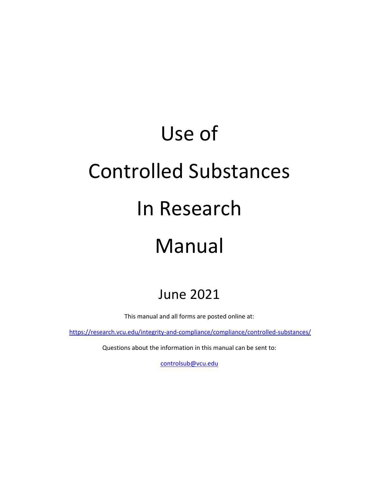# Use of Controlled Substances In Research Manual

## June 2021

This manual and all forms are posted online at:

<https://research.vcu.edu/integrity-and-compliance/compliance/controlled-substances/>

Questions about the information in this manual can be sent to:

[controlsub@vcu.edu](mailto:controlsub@vcu.edu)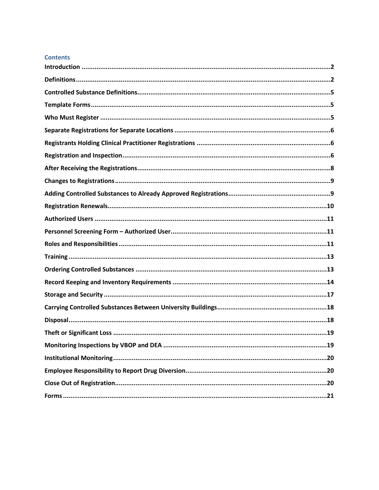#### **Contents**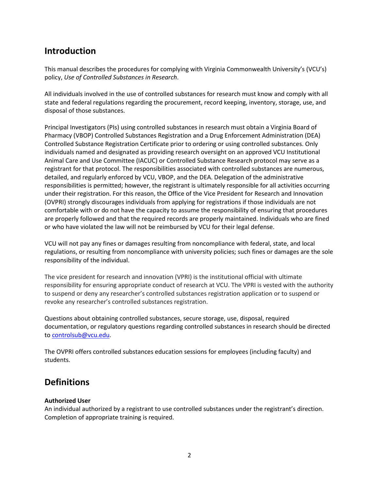### <span id="page-2-0"></span>**Introduction**

This manual describes the procedures for complying with Virginia Commonwealth University's (VCU's) policy, *Use of Controlled Substances in Research*.

All individuals involved in the use of controlled substances for research must know and comply with all state and federal regulations regarding the procurement, record keeping, inventory, storage, use, and disposal of those substances.

Principal Investigators (PIs) using controlled substances in research must obtain a Virginia Board of Pharmacy (VBOP) Controlled Substances Registration and a Drug Enforcement Administration (DEA) Controlled Substance Registration Certificate prior to ordering or using controlled substances. Only individuals named and designated as providing research oversight on an approved VCU Institutional Animal Care and Use Committee (IACUC) or Controlled Substance Research protocol may serve as a registrant for that protocol. The responsibilities associated with controlled substances are numerous, detailed, and regularly enforced by VCU, VBOP, and the DEA. Delegation of the administrative responsibilities is permitted; however, the registrant is ultimately responsible for all activities occurring under their registration. For this reason, the Office of the Vice President for Research and Innovation (OVPRI) strongly discourages individuals from applying for registrations if those individuals are not comfortable with or do not have the capacity to assume the responsibility of ensuring that procedures are properly followed and that the required records are properly maintained. Individuals who are fined or who have violated the law will not be reimbursed by VCU for their legal defense.

VCU will not pay any fines or damages resulting from noncompliance with federal, state, and local regulations, or resulting from noncompliance with university policies; such fines or damages are the sole responsibility of the individual.

The vice president for research and innovation (VPRI) is the institutional official with ultimate responsibility for ensuring appropriate conduct of research at VCU. The VPRI is vested with the authority to suspend or deny any researcher's controlled substances registration application or to suspend or revoke any researcher's controlled substances registration.

Questions about obtaining controlled substances, secure storage, use, disposal, required documentation, or regulatory questions regarding controlled substances in research should be directed to [controlsub@vcu.edu.](mailto:controlsub@vcu.edu)

The OVPRI offers controlled substances education sessions for employees (including faculty) and students.

### <span id="page-2-1"></span>**Definitions**

### **Authorized User**

An individual authorized by a registrant to use controlled substances under the registrant's direction. Completion of appropriate training is required.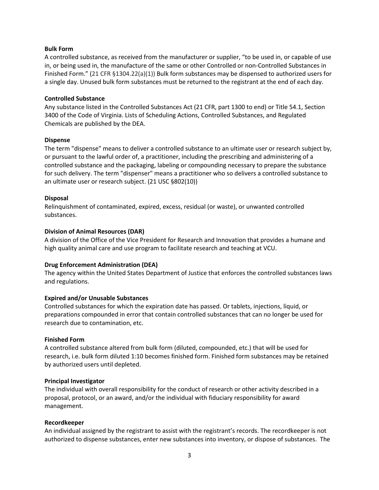#### **Bulk Form**

A controlled substance, as received from the manufacturer or supplier, "to be used in, or capable of use in, or being used in, the manufacture of the same or other Controlled or non-Controlled Substances in Finished Form." (21 CFR §1304.22(a)(1)) Bulk form substances may be dispensed to authorized users for a single day. Unused bulk form substances must be returned to the registrant at the end of each day.

### **Controlled Substance**

Any substance listed in the Controlled Substances Act (21 CFR, part 1300 to end) or Title 54.1, Section 3400 of the Code of Virginia. Lists of Scheduling Actions, Controlled Substances, and Regulated Chemicals are published by the DEA.

#### **Dispense**

The term "dispense" means to deliver a controlled substance to an ultimate user or research subject by, or pursuant to the lawful order of, a practitioner, including the prescribing and administering of a controlled substance and the packaging, labeling or compounding necessary to prepare the substance for such delivery. The term "dispenser" means a practitioner who so delivers a controlled substance to an ultimate user or research subject. (21 USC §802(10))

#### **Disposal**

Relinquishment of contaminated, expired, excess, residual (or waste), or unwanted controlled substances.

#### **Division of Animal Resources (DAR)**

A division of the Office of the Vice President for Research and Innovation that provides a humane and high quality animal care and use program to facilitate research and teaching at VCU.

#### **Drug Enforcement Administration (DEA)**

The agency within the United States Department of Justice that enforces the controlled substances laws and regulations.

### **Expired and/or Unusable Substances**

Controlled substances for which the expiration date has passed. Or tablets, injections, liquid, or preparations compounded in error that contain controlled substances that can no longer be used for research due to contamination, etc.

#### **Finished Form**

A controlled substance altered from bulk form (diluted, compounded, etc.) that will be used for research, i.e. bulk form diluted 1:10 becomes finished form. Finished form substances may be retained by authorized users until depleted.

### **Principal Investigator**

The individual with overall responsibility for the conduct of research or other activity described in a proposal, protocol, or an award, and/or the individual with fiduciary responsibility for award management.

#### **Recordkeeper**

An individual assigned by the registrant to assist with the registrant's records. The recordkeeper is not authorized to dispense substances, enter new substances into inventory, or dispose of substances. The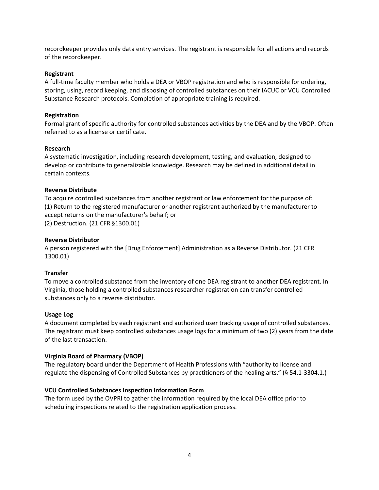recordkeeper provides only data entry services. The registrant is responsible for all actions and records of the recordkeeper.

#### **Registrant**

A full-time faculty member who holds a DEA or VBOP registration and who is responsible for ordering, storing, using, record keeping, and disposing of controlled substances on their IACUC or VCU Controlled Substance Research protocols. Completion of appropriate training is required.

#### **Registration**

Formal grant of specific authority for controlled substances activities by the DEA and by the VBOP. Often referred to as a license or certificate.

#### **Research**

A systematic investigation, including research development, testing, and evaluation, designed to develop or contribute to generalizable knowledge. Research may be defined in additional detail in certain contexts.

#### **Reverse Distribute**

To acquire controlled substances from another registrant or law enforcement for the purpose of: (1) Return to the registered manufacturer or another registrant authorized by the manufacturer to accept returns on the manufacturer's behalf; or (2) Destruction. (21 CFR §1300.01)

#### **Reverse Distributor**

A person registered with the [Drug Enforcement] Administration as a Reverse Distributor. (21 CFR 1300.01)

### **Transfer**

To move a controlled substance from the inventory of one DEA registrant to another DEA registrant. In Virginia, those holding a controlled substances researcher registration can transfer controlled substances only to a reverse distributor.

### **Usage Log**

A document completed by each registrant and authorized user tracking usage of controlled substances. The registrant must keep controlled substances usage logs for a minimum of two (2) years from the date of the last transaction.

### **Virginia Board of Pharmacy (VBOP)**

The regulatory board under the Department of Health Professions with "authority to license and regulate the dispensing of Controlled Substances by practitioners of the healing arts." (§ 54.1-3304.1.)

### **VCU Controlled Substances Inspection Information Form**

The form used by the OVPRI to gather the information required by the local DEA office prior to scheduling inspections related to the registration application process.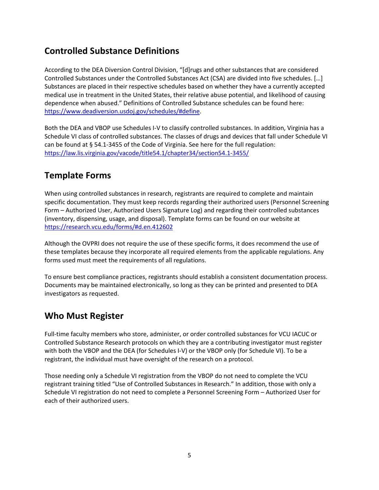### <span id="page-5-0"></span>**Controlled Substance Definitions**

According to the DEA Diversion Control Division, "[d]rugs and other substances that are considered Controlled Substances under the Controlled Substances Act (CSA) are divided into five schedules. […] Substances are placed in their respective schedules based on whether they have a currently accepted medical use in treatment in the United States, their relative abuse potential, and likelihood of causing dependence when abused." Definitions of Controlled Substance schedules can be found here: [https://www.deadiversion.usdoj.gov/schedules/#define.](https://www.deadiversion.usdoj.gov/schedules/#define)

Both the DEA and VBOP use Schedules I-V to classify controlled substances. In addition, Virginia has a Schedule VI class of controlled substances. The classes of drugs and devices that fall under Schedule VI can be found at § 54.1-3455 of the Code of Virginia. See here for the full regulation: <https://law.lis.virginia.gov/vacode/title54.1/chapter34/section54.1-3455/>

### <span id="page-5-1"></span>**Template Forms**

When using controlled substances in research, registrants are required to complete and maintain specific documentation. They must keep records regarding their authorized users (Personnel Screening Form – Authorized User, Authorized Users Signature Log) and regarding their controlled substances (inventory, dispensing, usage, and disposal). Template forms can be found on our website at <https://research.vcu.edu/forms/#d.en.412602>

Although the OVPRI does not require the use of these specific forms, it does recommend the use of these templates because they incorporate all required elements from the applicable regulations. Any forms used must meet the requirements of all regulations.

To ensure best compliance practices, registrants should establish a consistent documentation process. Documents may be maintained electronically, so long as they can be printed and presented to DEA investigators as requested.

### <span id="page-5-2"></span>**Who Must Register**

Full-time faculty members who store, administer, or order controlled substances for VCU IACUC or Controlled Substance Research protocols on which they are a contributing investigator must register with both the VBOP and the DEA (for Schedules I-V) or the VBOP only (for Schedule VI). To be a registrant, the individual must have oversight of the research on a protocol.

Those needing only a Schedule VI registration from the VBOP do not need to complete the VCU registrant training titled "Use of Controlled Substances in Research." In addition, those with only a Schedule VI registration do not need to complete a Personnel Screening Form – Authorized User for each of their authorized users.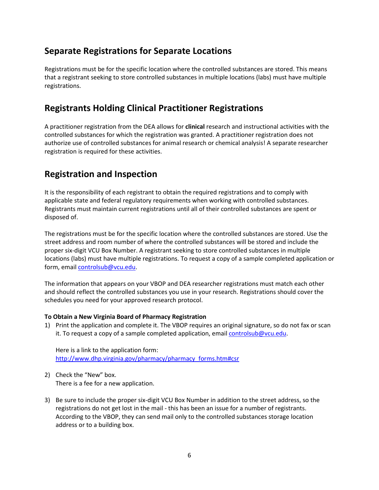### <span id="page-6-0"></span>**Separate Registrations for Separate Locations**

Registrations must be for the specific location where the controlled substances are stored. This means that a registrant seeking to store controlled substances in multiple locations (labs) must have multiple registrations.

### <span id="page-6-1"></span>**Registrants Holding Clinical Practitioner Registrations**

A practitioner registration from the DEA allows for **clinical** research and instructional activities with the controlled substances for which the registration was granted. A practitioner registration does not authorize use of controlled substances for animal research or chemical analysis! A separate researcher registration is required for these activities.

### <span id="page-6-2"></span>**Registration and Inspection**

It is the responsibility of each registrant to obtain the required registrations and to comply with applicable state and federal regulatory requirements when working with controlled substances. Registrants must maintain current registrations until all of their controlled substances are spent or disposed of.

The registrations must be for the specific location where the controlled substances are stored. Use the street address and room number of where the controlled substances will be stored and include the proper six-digit VCU Box Number. A registrant seeking to store controlled substances in multiple locations (labs) must have multiple registrations. To request a copy of a sample completed application or form, email [controlsub@vcu.edu.](mailto:controlsub@vcu.edu)

The information that appears on your VBOP and DEA researcher registrations must match each other and should reflect the controlled substances you use in your research. Registrations should cover the schedules you need for your approved research protocol.

### **To Obtain a New Virginia Board of Pharmacy Registration**

1) Print the application and complete it. The VBOP requires an original signature, so do not fax or scan it. To request a copy of a sample completed application, email **controlsub@vcu.edu**.

Here is a link to the application form: [http://www.dhp.virginia.gov/pharmacy/pharmacy\\_forms.htm#csr](http://www.dhp.virginia.gov/pharmacy/pharmacy_forms.htm#csr)

- 2) Check the "New" box. There is a fee for a new application.
- 3) Be sure to include the proper six-digit VCU Box Number in addition to the street address, so the registrations do not get lost in the mail - this has been an issue for a number of registrants. According to the VBOP, they can send mail only to the controlled substances storage location address or to a building box.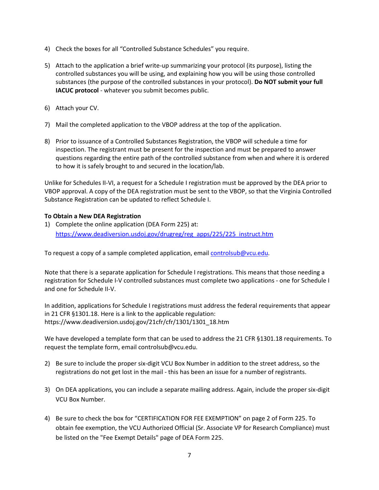- 4) Check the boxes for all "Controlled Substance Schedules" you require.
- 5) Attach to the application a brief write-up summarizing your protocol (its purpose), listing the controlled substances you will be using, and explaining how you will be using those controlled substances (the purpose of the controlled substances in your protocol). **Do NOT submit your full IACUC protocol** - whatever you submit becomes public.
- 6) Attach your CV.
- 7) Mail the completed application to the VBOP address at the top of the application.
- 8) Prior to issuance of a Controlled Substances Registration, the VBOP will schedule a time for inspection. The registrant must be present for the inspection and must be prepared to answer questions regarding the entire path of the controlled substance from when and where it is ordered to how it is safely brought to and secured in the location/lab.

Unlike for Schedules II-VI, a request for a Schedule I registration must be approved by the DEA prior to VBOP approval. A copy of the DEA registration must be sent to the VBOP, so that the Virginia Controlled Substance Registration can be updated to reflect Schedule I.

### **To Obtain a New DEA Registration**

1) Complete the online application (DEA Form 225) at: [https://www.deadiversion.usdoj.gov/drugreg/reg\\_apps/225/225\\_instruct.htm](https://www.deadiversion.usdoj.gov/drugreg/reg_apps/225/225_instruct.htm)

To request a copy of a sample completed application, email [controlsub@vcu.edu.](mailto:controlsub@vcu.edu)

Note that there is a separate application for Schedule I registrations. This means that those needing a registration for Schedule I-V controlled substances must complete two applications - one for Schedule I and one for Schedule II-V.

In addition, applications for Schedule I registrations must address the federal requirements that appear in 21 CFR §1301.18. Here is a link to the applicable regulation: [https://www.deadiversion.usdoj.gov/21cfr/cfr/1301/1301\\_18.htm](https://www.deadiversion.usdoj.gov/21cfr/cfr/1301/1301_18.htm)

We have developed a template form that can be used to address the 21 CFR §1301.18 requirements. To request the template form, emai[l controlsub@vcu.edu.](mailto:controlsub@vcu.edu)

- 2) Be sure to include the proper six-digit VCU Box Number in addition to the street address, so the registrations do not get lost in the mail - this has been an issue for a number of registrants.
- 3) On DEA applications, you can include a separate mailing address. Again, include the proper six-digit VCU Box Number.
- 4) Be sure to check the box for "CERTIFICATION FOR FEE EXEMPTION" on page 2 of Form 225. To obtain fee exemption, the VCU Authorized Official (Sr. Associate VP for Research Compliance) must be listed on the "Fee Exempt Details" page of DEA Form 225.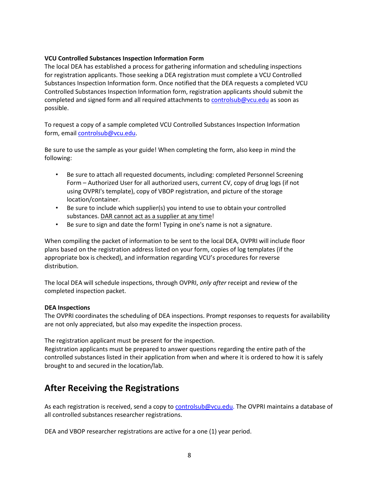#### **VCU Controlled Substances Inspection Information Form**

The local DEA has established a process for gathering information and scheduling inspections for registration applicants. Those seeking a DEA registration must complete a VCU Controlled Substances Inspection Information form. Once notified that the DEA requests a completed VCU Controlled Substances Inspection Information form, registration applicants should submit the completed and signed form and all required attachments to [controlsub@vcu.edu](mailto:controlsub@vcu.edu) as soon as possible.

To request a copy of a sample completed VCU Controlled Substances Inspection Information form, email [controlsub@vcu.edu.](mailto:controlsub@vcu.edu)

Be sure to use the sample as your guide! When completing the form, also keep in mind the following:

- Be sure to attach all requested documents, including: completed Personnel Screening Form – Authorized User for all authorized users, current CV, copy of drug logs (if not using OVPRI's template), copy of VBOP registration, and picture of the storage location/container.
- Be sure to include which supplier(s) you intend to use to obtain your controlled substances. DAR cannot act as a supplier at any time!
- Be sure to sign and date the form! Typing in one's name is not a signature.

When compiling the packet of information to be sent to the local DEA, OVPRI will include floor plans based on the registration address listed on your form, copies of log templates (if the appropriate box is checked), and information regarding VCU's procedures for reverse distribution.

The local DEA will schedule inspections, through OVPRI, *only after* receipt and review of the completed inspection packet.

### **DEA Inspections**

The OVPRI coordinates the scheduling of DEA inspections. Prompt responses to requests for availability are not only appreciated, but also may expedite the inspection process.

The registration applicant must be present for the inspection.

Registration applicants must be prepared to answer questions regarding the entire path of the controlled substances listed in their application from when and where it is ordered to how it is safely brought to and secured in the location/lab.

### <span id="page-8-0"></span>**After Receiving the Registrations**

As each registration is received, send a copy to [controlsub@vcu.edu.](mailto:controlsub@vcu.edu) The OVPRI maintains a database of all controlled substances researcher registrations.

DEA and VBOP researcher registrations are active for a one (1) year period.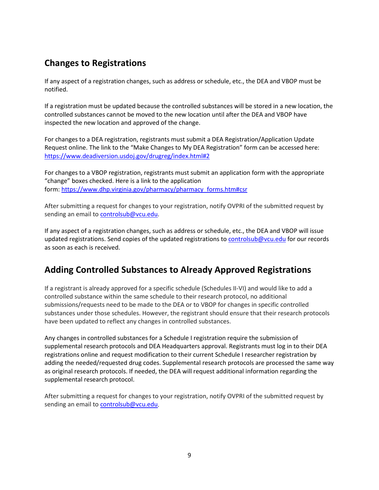### <span id="page-9-0"></span>**Changes to Registrations**

If any aspect of a registration changes, such as address or schedule, etc., the DEA and VBOP must be notified.

If a registration must be updated because the controlled substances will be stored in a new location, the controlled substances cannot be moved to the new location until after the DEA and VBOP have inspected the new location and approved of the change.

For changes to a DEA registration, registrants must submit a DEA Registration/Application Update Request online. The link to the "Make Changes to My DEA Registration" form can be accessed here: <https://www.deadiversion.usdoj.gov/drugreg/index.html#2>

For changes to a VBOP registration, registrants must submit an application form with the appropriate "change" boxes checked. Here is a link to the application form: [https://www.dhp.virginia.gov/pharmacy/pharmacy\\_forms.htm#csr](https://www.dhp.virginia.gov/pharmacy/pharmacy_forms.htm#csr)

After submitting a request for changes to your registration, notify OVPRI of the submitted request by sending an email to [controlsub@vcu.edu.](mailto:controlsub@vcu.edu)

If any aspect of a registration changes, such as address or schedule, etc., the DEA and VBOP will issue updated registrations. Send copies of the updated registrations to [controlsub@vcu.edu](mailto:controlsub@vcu.edu) for our records as soon as each is received.

### <span id="page-9-1"></span>**Adding Controlled Substances to Already Approved Registrations**

If a registrant is already approved for a specific schedule (Schedules II-VI) and would like to add a controlled substance within the same schedule to their research protocol, no additional submissions/requests need to be made to the DEA or to VBOP for changes in specific controlled substances under those schedules. However, the registrant should ensure that their research protocols have been updated to reflect any changes in controlled substances.

Any changes in controlled substances for a Schedule I registration require the submission of supplemental research protocols and DEA Headquarters approval. Registrants must log in to their DEA registrations online and request modification to their current Schedule I researcher registration by adding the needed/requested drug codes. Supplemental research protocols are processed the same way as original research protocols. If needed, the DEA will request additional information regarding the supplemental research protocol.

After submitting a request for changes to your registration, notify OVPRI of the submitted request by sending an email to [controlsub@vcu.edu.](mailto:controlsub@vcu.edu)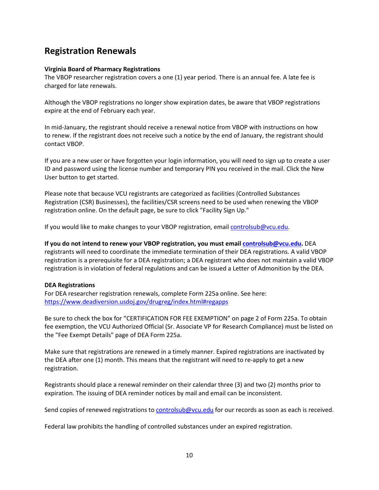### <span id="page-10-0"></span>**Registration Renewals**

### **Virginia Board of Pharmacy Registrations**

The VBOP researcher registration covers a one (1) year period. There is an annual fee. A late fee is charged for late renewals.

Although the VBOP registrations no longer show expiration dates, be aware that VBOP registrations expire at the end of February each year.

In mid-January, the registrant should receive a renewal notice from VBOP with instructions on how to renew. If the registrant does not receive such a notice by the end of January, the registrant should contact VBOP.

If you are a new user or have forgotten your login information, you will need to sign up to create a user ID and password using the license number and temporary PIN you received in the mail. Click the New User button to get started.

Please note that because VCU registrants are categorized as facilities (Controlled Substances Registration (CSR) Businesses), the facilities/CSR screens need to be used when renewing the VBOP registration online. On the default page, be sure to click "Facility Sign Up."

If you would like to make changes to your VBOP registration, emai[l controlsub@vcu.edu.](mailto:controlsub@vcu.edu)

**If you do not intend to renew your VBOP registration, you must email [controlsub@vcu.edu.](mailto:controlsub@vcu.edu)** DEA registrants will need to coordinate the immediate termination of their DEA registrations. A valid VBOP registration is a prerequisite for a DEA registration; a DEA registrant who does not maintain a valid VBOP registration is in violation of federal regulations and can be issued a Letter of Admonition by the DEA.

### **DEA Registrations**

For DEA researcher registration renewals, complete Form 225a online. See here: <https://www.deadiversion.usdoj.gov/drugreg/index.html#regapps>

Be sure to check the box for "CERTIFICATION FOR FEE EXEMPTION" on page 2 of Form 225a. To obtain fee exemption, the VCU Authorized Official (Sr. Associate VP for Research Compliance) must be listed on the "Fee Exempt Details" page of DEA Form 225a.

Make sure that registrations are renewed in a timely manner. Expired registrations are inactivated by the DEA after one (1) month. This means that the registrant will need to re-apply to get a new registration.

Registrants should place a renewal reminder on their calendar three (3) and two (2) months prior to expiration. The issuing of DEA reminder notices by mail and email can be inconsistent.

Send copies of renewed registrations to [controlsub@vcu.edu](mailto:controlsub@vcu.edu) for our records as soon as each is received.

Federal law prohibits the handling of controlled substances under an expired registration.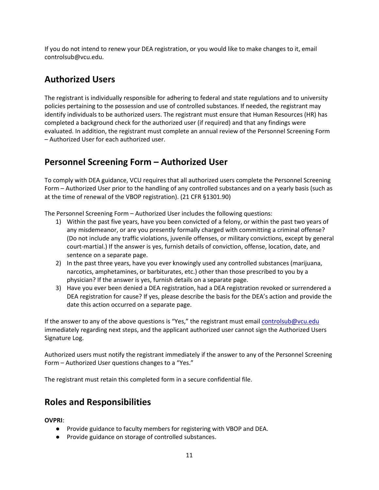If you do not intend to renew your DEA registration, or you would like to make changes to it, email controlsub@vcu.edu.

### <span id="page-11-0"></span>**Authorized Users**

The registrant is individually responsible for adhering to federal and state regulations and to university policies pertaining to the possession and use of controlled substances. If needed, the registrant may identify individuals to be authorized users. The registrant must ensure that Human Resources (HR) has completed a background check for the authorized user (if required) and that any findings were evaluated. In addition, the registrant must complete an annual review of the Personnel Screening Form – Authorized User for each authorized user.

### <span id="page-11-1"></span>**Personnel Screening Form – Authorized User**

To comply with DEA guidance, VCU requires that all authorized users complete the Personnel Screening Form – Authorized User prior to the handling of any controlled substances and on a yearly basis (such as at the time of renewal of the VBOP registration). (21 CFR §1301.90)

The Personnel Screening Form – Authorized User includes the following questions:

- 1) Within the past five years, have you been convicted of a felony, or within the past two years of any misdemeanor, or are you presently formally charged with committing a criminal offense? (Do not include any traffic violations, juvenile offenses, or military convictions, except by general court-martial.) If the answer is yes, furnish details of conviction, offense, location, date, and sentence on a separate page.
- 2) In the past three years, have you ever knowingly used any controlled substances (marijuana, narcotics, amphetamines, or barbiturates, etc.) other than those prescribed to you by a physician? If the answer is yes, furnish details on a separate page.
- 3) Have you ever been denied a DEA registration, had a DEA registration revoked or surrendered a DEA registration for cause? If yes, please describe the basis for the DEA's action and provide the date this action occurred on a separate page.

If the answer to any of the above questions is "Yes," the registrant must email [controlsub@vcu.edu](mailto:controlsub@vcu.edu) immediately regarding next steps, and the applicant authorized user cannot sign the Authorized Users Signature Log.

Authorized users must notify the registrant immediately if the answer to any of the Personnel Screening Form – Authorized User questions changes to a "Yes."

The registrant must retain this completed form in a secure confidential file.

### <span id="page-11-2"></span>**Roles and Responsibilities**

**OVPRI**:

- Provide guidance to faculty members for registering with VBOP and DEA.
- Provide guidance on storage of controlled substances.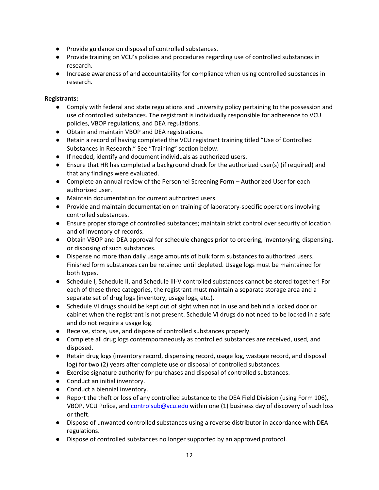- Provide guidance on disposal of controlled substances.
- Provide training on VCU's policies and procedures regarding use of controlled substances in research.
- Increase awareness of and accountability for compliance when using controlled substances in research.

### **Registrants:**

- Comply with federal and state regulations and university policy pertaining to the possession and use of controlled substances. The registrant is individually responsible for adherence to VCU policies, VBOP regulations, and DEA regulations.
- Obtain and maintain VBOP and DEA registrations.
- Retain a record of having completed the VCU registrant training titled "Use of Controlled Substances in Research." See "Training" section below.
- If needed, identify and document individuals as authorized users.
- Ensure that HR has completed a background check for the authorized user(s) (if required) and that any findings were evaluated.
- Complete an annual review of the Personnel Screening Form Authorized User for each authorized user.
- Maintain documentation for current authorized users.
- Provide and maintain documentation on training of laboratory-specific operations involving controlled substances.
- Ensure proper storage of controlled substances; maintain strict control over security of location and of inventory of records.
- Obtain VBOP and DEA approval for schedule changes prior to ordering, inventorying, dispensing, or disposing of such substances.
- Dispense no more than daily usage amounts of bulk form substances to authorized users. Finished form substances can be retained until depleted. Usage logs must be maintained for both types.
- Schedule I, Schedule II, and Schedule III-V controlled substances cannot be stored together! For each of these three categories, the registrant must maintain a separate storage area and a separate set of drug logs (inventory, usage logs, etc.).
- Schedule VI drugs should be kept out of sight when not in use and behind a locked door or cabinet when the registrant is not present. Schedule VI drugs do not need to be locked in a safe and do not require a usage log.
- Receive, store, use, and dispose of controlled substances properly.
- Complete all drug logs contemporaneously as controlled substances are received, used, and disposed.
- Retain drug logs (inventory record, dispensing record, usage log, wastage record, and disposal log) for two (2) years after complete use or disposal of controlled substances.
- Exercise signature authority for purchases and disposal of controlled substances.
- Conduct an initial inventory.
- Conduct a biennial inventory.
- Report the theft or loss of any controlled substance to the DEA Field Division (using Form 106), VBOP, VCU Police, an[d controlsub@vcu.edu](mailto:controlsub@vcu.edu) within one (1) business day of discovery of such loss or theft.
- Dispose of unwanted controlled substances using a reverse distributor in accordance with DEA regulations.
- Dispose of controlled substances no longer supported by an approved protocol.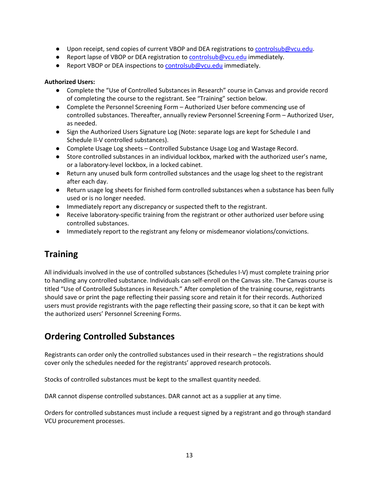- Upon receipt, send copies of current VBOP and DEA registrations to [controlsub@vcu.edu.](mailto:controlsub@vcu.edu)
- Report lapse of VBOP or DEA registration to **controlsub@vcu.edu** immediately.
- Report VBOP or DEA inspections to [controlsub@vcu.edu](mailto:controlsub@vcu.edu) immediately.

### **Authorized Users:**

- Complete the "Use of Controlled Substances in Research" course in Canvas and provide record of completing the course to the registrant. See "Training" section below.
- Complete the Personnel Screening Form Authorized User before commencing use of controlled substances. Thereafter, annually review Personnel Screening Form – Authorized User, as needed.
- Sign the Authorized Users Signature Log (Note: separate logs are kept for Schedule I and Schedule II-V controlled substances).
- Complete Usage Log sheets Controlled Substance Usage Log and Wastage Record.
- Store controlled substances in an individual lockbox, marked with the authorized user's name, or a laboratory-level lockbox, in a locked cabinet.
- Return any unused bulk form controlled substances and the usage log sheet to the registrant after each day.
- Return usage log sheets for finished form controlled substances when a substance has been fully used or is no longer needed.
- Immediately report any discrepancy or suspected theft to the registrant.
- Receive laboratory-specific training from the registrant or other authorized user before using controlled substances.
- Immediately report to the registrant any felony or misdemeanor violations/convictions.

### <span id="page-13-0"></span>**Training**

All individuals involved in the use of controlled substances (Schedules I-V) must complete training prior to handling any controlled substance. Individuals can self-enroll on the Canvas site. The Canvas course is titled "Use of Controlled Substances in Research." After completion of the training course, registrants should save or print the page reflecting their passing score and retain it for their records. Authorized users must provide registrants with the page reflecting their passing score, so that it can be kept with the authorized users' Personnel Screening Forms.

### <span id="page-13-1"></span>**Ordering Controlled Substances**

Registrants can order only the controlled substances used in their research – the registrations should cover only the schedules needed for the registrants' approved research protocols.

Stocks of controlled substances must be kept to the smallest quantity needed.

DAR cannot dispense controlled substances. DAR cannot act as a supplier at any time.

Orders for controlled substances must include a request signed by a registrant and go through standard VCU procurement processes.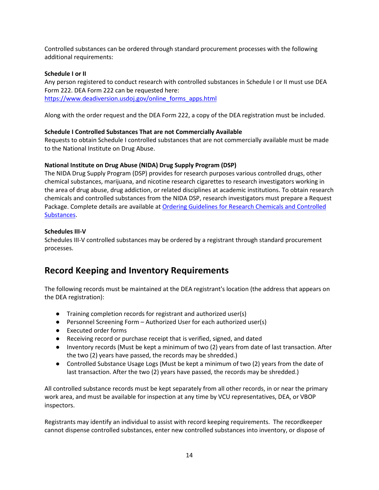Controlled substances can be ordered through standard procurement processes with the following additional requirements:

### **Schedule I or II**

Any person registered to conduct research with controlled substances in Schedule I or II must use DEA Form 222. DEA Form 222 can be requested here: [https://www.deadiversion.usdoj.gov/online\\_forms\\_apps.html](https://www.deadiversion.usdoj.gov/online_forms_apps.html)

Along with the order request and the DEA Form 222, a copy of the DEA registration must be included.

### **Schedule I Controlled Substances That are not Commercially Available**

Requests to obtain Schedule I controlled substances that are not commercially available must be made to the National Institute on Drug Abuse.

### **National Institute on Drug Abuse (NIDA) Drug Supply Program (DSP)**

The NIDA Drug Supply Program (DSP) provides for research purposes various controlled drugs, other chemical substances, marijuana, and nicotine research cigarettes to research investigators working in the area of drug abuse, drug addiction, or related disciplines at academic institutions. To obtain research chemicals and controlled substances from the NIDA DSP, research investigators must prepare a Request Package. Complete details are available at [Ordering Guidelines for Research Chemicals and Controlled](https://www.drugabuse.gov/ordering-guidelines-research-chemicals-controlled-substances)  [Substances.](https://www.drugabuse.gov/ordering-guidelines-research-chemicals-controlled-substances)

### **Schedules III-V**

Schedules III-V controlled substances may be ordered by a registrant through standard procurement processes.

### <span id="page-14-0"></span>**Record Keeping and Inventory Requirements**

The following records must be maintained at the DEA registrant's location (the address that appears on the DEA registration):

- Training completion records for registrant and authorized user(s)
- Personnel Screening Form Authorized User for each authorized user(s)
- Executed order forms
- Receiving record or purchase receipt that is verified, signed, and dated
- Inventory records (Must be kept a minimum of two (2) years from date of last transaction. After the two (2) years have passed, the records may be shredded.)
- Controlled Substance Usage Logs (Must be kept a minimum of two (2) years from the date of last transaction. After the two (2) years have passed, the records may be shredded.)

All controlled substance records must be kept separately from all other records, in or near the primary work area, and must be available for inspection at any time by VCU representatives, DEA, or VBOP inspectors.

Registrants may identify an individual to assist with record keeping requirements. The recordkeeper cannot dispense controlled substances, enter new controlled substances into inventory, or dispose of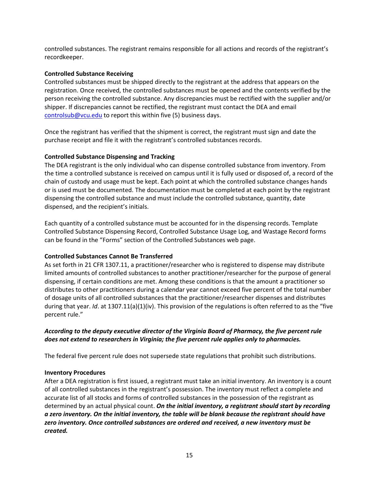controlled substances. The registrant remains responsible for all actions and records of the registrant's recordkeeper.

#### **Controlled Substance Receiving**

Controlled substances must be shipped directly to the registrant at the address that appears on the registration. Once received, the controlled substances must be opened and the contents verified by the person receiving the controlled substance. Any discrepancies must be rectified with the supplier and/or shipper. If discrepancies cannot be rectified, the registrant must contact the DEA and email [controlsub@vcu.edu](mailto:controlsub@vcu.edu) to report this within five (5) business days.

Once the registrant has verified that the shipment is correct, the registrant must sign and date the purchase receipt and file it with the registrant's controlled substances records.

### **Controlled Substance Dispensing and Tracking**

The DEA registrant is the only individual who can dispense controlled substance from inventory. From the time a controlled substance is received on campus until it is fully used or disposed of, a record of the chain of custody and usage must be kept. Each point at which the controlled substance changes hands or is used must be documented. The documentation must be completed at each point by the registrant dispensing the controlled substance and must include the controlled substance, quantity, date dispensed, and the recipient's initials.

Each quantity of a controlled substance must be accounted for in the dispensing records. Template Controlled Substance Dispensing Record, Controlled Substance Usage Log, and Wastage Record forms can be found in the "Forms" section of the Controlled Substances web page.

### **Controlled Substances Cannot Be Transferred**

As set forth in 21 CFR 1307.11, a practitioner/researcher who is registered to dispense may distribute limited amounts of controlled substances to another practitioner/researcher for the purpose of general dispensing, if certain conditions are met. Among these conditions is that the amount a practitioner so distributes to other practitioners during a calendar year cannot exceed five percent of the total number of dosage units of all controlled substances that the practitioner/researcher dispenses and distributes during that year. *Id*. at 1307.11(a)(1)(iv). This provision of the regulations is often referred to as the "five percent rule."

### *According to the deputy executive director of the Virginia Board of Pharmacy, the five percent rule does not extend to researchers in Virginia; the five percent rule applies only to pharmacies.*

The federal five percent rule does not supersede state regulations that prohibit such distributions.

#### **Inventory Procedures**

After a DEA registration is first issued, a registrant must take an initial inventory. An inventory is a count of all controlled substances in the registrant's possession. The inventory must reflect a complete and accurate list of all stocks and forms of controlled substances in the possession of the registrant as determined by an actual physical count. *On the initial inventory, a registrant should start by recording a zero inventory. On the initial inventory, the table will be blank because the registrant should have zero inventory. Once controlled substances are ordered and received, a new inventory must be created.*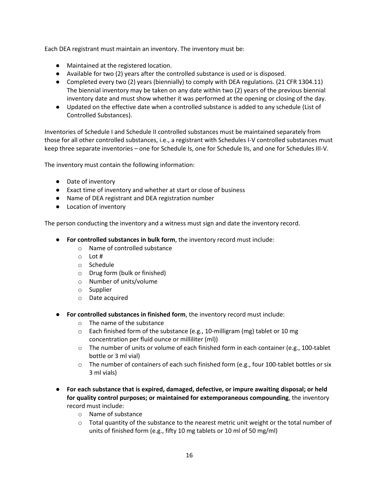Each DEA registrant must maintain an inventory. The inventory must be:

- Maintained at the registered location.
- Available for two (2) years after the controlled substance is used or is disposed.
- Completed every two (2) years (biennially) to comply with DEA regulations. (21 CFR 1304.11) The biennial inventory may be taken on any date within two (2) years of the previous biennial inventory date and must show whether it was performed at the opening or closing of the day.
- Updated on the effective date when a controlled substance is added to any schedule (List of Controlled Substances).

Inventories of Schedule I and Schedule II controlled substances must be maintained separately from those for all other controlled substances, i.e., a registrant with Schedules I-V controlled substances must keep three separate inventories – one for Schedule Is, one for Schedule IIs, and one for Schedules III-V.

The inventory must contain the following information:

- Date of inventory
- Exact time of inventory and whether at start or close of business
- Name of DEA registrant and DEA registration number
- Location of inventory

The person conducting the inventory and a witness must sign and date the inventory record.

- **For controlled substances in bulk form**, the inventory record must include:
	- o Name of controlled substance
	- o Lot #
	- o Schedule
	- o Drug form (bulk or finished)
	- o Number of units/volume
	- o Supplier
	- o Date acquired
- **For controlled substances in finished form**, the inventory record must include:
	- o The name of the substance
	- $\circ$  Each finished form of the substance (e.g., 10-milligram (mg) tablet or 10 mg concentration per fluid ounce or milliliter (ml))
	- $\circ$  The number of units or volume of each finished form in each container (e.g., 100-tablet bottle or 3 ml vial)
	- $\circ$  The number of containers of each such finished form (e.g., four 100-tablet bottles or six 3 ml vials)
- **For each substance that is expired, damaged, defective, or impure awaiting disposal; or held for quality control purposes; or maintained for extemporaneous compounding**, the inventory record must include:
	- o Name of substance
	- $\circ$  Total quantity of the substance to the nearest metric unit weight or the total number of units of finished form (e.g., fifty 10 mg tablets or 10 ml of 50 mg/ml)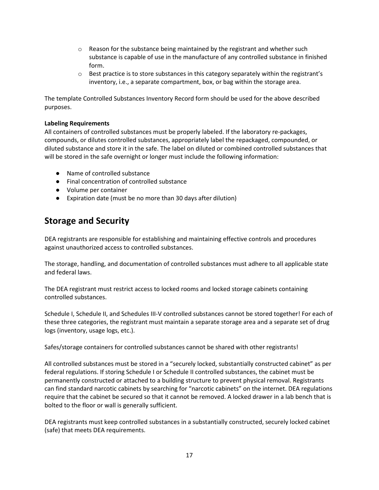- $\circ$  Reason for the substance being maintained by the registrant and whether such substance is capable of use in the manufacture of any controlled substance in finished form.
- $\circ$  Best practice is to store substances in this category separately within the registrant's inventory, i.e., a separate compartment, box, or bag within the storage area.

The template Controlled Substances Inventory Record form should be used for the above described purposes.

### **Labeling Requirements**

All containers of controlled substances must be properly labeled. If the laboratory re-packages, compounds, or dilutes controlled substances, appropriately label the repackaged, compounded, or diluted substance and store it in the safe. The label on diluted or combined controlled substances that will be stored in the safe overnight or longer must include the following information:

- Name of controlled substance
- Final concentration of controlled substance
- Volume per container
- Expiration date (must be no more than 30 days after dilution)

### <span id="page-17-0"></span>**Storage and Security**

DEA registrants are responsible for establishing and maintaining effective controls and procedures against unauthorized access to controlled substances.

The storage, handling, and documentation of controlled substances must adhere to all applicable state and federal laws.

The DEA registrant must restrict access to locked rooms and locked storage cabinets containing controlled substances.

Schedule I, Schedule II, and Schedules III-V controlled substances cannot be stored together! For each of these three categories, the registrant must maintain a separate storage area and a separate set of drug logs (inventory, usage logs, etc.).

Safes/storage containers for controlled substances cannot be shared with other registrants!

All controlled substances must be stored in a "securely locked, substantially constructed cabinet" as per federal regulations. If storing Schedule I or Schedule II controlled substances, the cabinet must be permanently constructed or attached to a building structure to prevent physical removal. Registrants can find standard narcotic cabinets by searching for "narcotic cabinets" on the internet. DEA regulations require that the cabinet be secured so that it cannot be removed. A locked drawer in a lab bench that is bolted to the floor or wall is generally sufficient.

DEA registrants must keep controlled substances in a substantially constructed, securely locked cabinet (safe) that meets DEA requirements.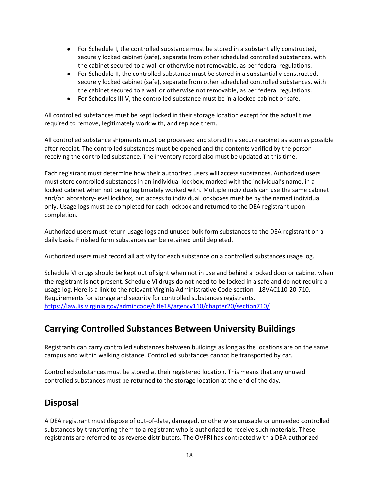- For Schedule I, the controlled substance must be stored in a substantially constructed, securely locked cabinet (safe), separate from other scheduled controlled substances, with the cabinet secured to a wall or otherwise not removable, as per federal regulations.
- For Schedule II, the controlled substance must be stored in a substantially constructed, securely locked cabinet (safe), separate from other scheduled controlled substances, with the cabinet secured to a wall or otherwise not removable, as per federal regulations.
- For Schedules III-V, the controlled substance must be in a locked cabinet or safe.

All controlled substances must be kept locked in their storage location except for the actual time required to remove, legitimately work with, and replace them.

All controlled substance shipments must be processed and stored in a secure cabinet as soon as possible after receipt. The controlled substances must be opened and the contents verified by the person receiving the controlled substance. The inventory record also must be updated at this time.

Each registrant must determine how their authorized users will access substances. Authorized users must store controlled substances in an individual lockbox, marked with the individual's name, in a locked cabinet when not being legitimately worked with. Multiple individuals can use the same cabinet and/or laboratory-level lockbox, but access to individual lockboxes must be by the named individual only. Usage logs must be completed for each lockbox and returned to the DEA registrant upon completion.

Authorized users must return usage logs and unused bulk form substances to the DEA registrant on a daily basis. Finished form substances can be retained until depleted.

Authorized users must record all activity for each substance on a controlled substances usage log.

Schedule VI drugs should be kept out of sight when not in use and behind a locked door or cabinet when the registrant is not present. Schedule VI drugs do not need to be locked in a safe and do not require a usage log. Here is a link to the relevant Virginia Administrative Code section - 18VAC110-20-710. Requirements for storage and security for controlled substances registrants. <https://law.lis.virginia.gov/admincode/title18/agency110/chapter20/section710/>

### <span id="page-18-0"></span>**Carrying Controlled Substances Between University Buildings**

Registrants can carry controlled substances between buildings as long as the locations are on the same campus and within walking distance. Controlled substances cannot be transported by car.

Controlled substances must be stored at their registered location. This means that any unused controlled substances must be returned to the storage location at the end of the day.

### <span id="page-18-1"></span>**Disposal**

A DEA registrant must dispose of out-of-date, damaged, or otherwise unusable or unneeded controlled substances by transferring them to a registrant who is authorized to receive such materials. These registrants are referred to as reverse distributors. The OVPRI has contracted with a DEA-authorized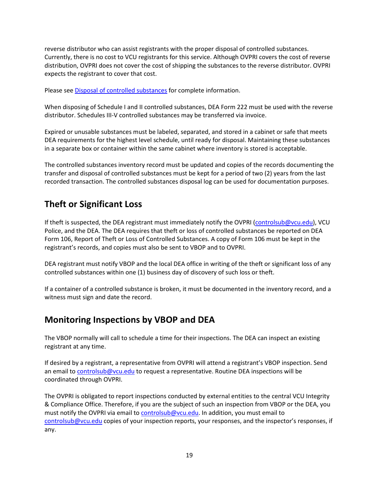reverse distributor who can assist registrants with the proper disposal of controlled substances. Currently, there is no cost to VCU registrants for this service. Although OVPRI covers the cost of reverse distribution, OVPRI does not cover the cost of shipping the substances to the reverse distributor. OVPRI expects the registrant to cover that cost.

Please see [Disposal of controlled substances](https://research.vcu.edu/integrity-and-compliance/compliance/controlled-substances/) for complete information.

When disposing of Schedule I and II controlled substances, DEA Form 222 must be used with the reverse distributor. Schedules III-V controlled substances may be transferred via invoice.

Expired or unusable substances must be labeled, separated, and stored in a cabinet or safe that meets DEA requirements for the highest level schedule, until ready for disposal. Maintaining these substances in a separate box or container within the same cabinet where inventory is stored is acceptable.

The controlled substances inventory record must be updated and copies of the records documenting the transfer and disposal of controlled substances must be kept for a period of two (2) years from the last recorded transaction. The controlled substances disposal log can be used for documentation purposes.

### <span id="page-19-0"></span>**Theft or Significant Loss**

If theft is suspected, the DEA registrant must immediately notify the OVPRI [\(controlsub@vcu.edu\)](mailto:controlsub@vcu.edu), VCU Police, and the DEA. The DEA requires that theft or loss of controlled substances be reported on DEA Form 106, Report of Theft or Loss of Controlled Substances. A copy of Form 106 must be kept in the registrant's records, and copies must also be sent to VBOP and to OVPRI.

DEA registrant must notify VBOP and the local DEA office in writing of the theft or significant loss of any controlled substances within one (1) business day of discovery of such loss or theft.

If a container of a controlled substance is broken, it must be documented in the inventory record, and a witness must sign and date the record.

### <span id="page-19-1"></span>**Monitoring Inspections by VBOP and DEA**

The VBOP normally will call to schedule a time for their inspections. The DEA can inspect an existing registrant at any time.

If desired by a registrant, a representative from OVPRI will attend a registrant's VBOP inspection. Send an email t[o controlsub@vcu.edu](mailto:controlsub@vcu.edu) to request a representative. Routine DEA inspections will be coordinated through OVPRI.

The OVPRI is obligated to report inspections conducted by external entities to the central VCU Integrity & Compliance Office. Therefore, if you are the subject of such an inspection from VBOP or the DEA, you must notify the OVPRI via email to [controlsub@vcu.edu.](mailto:controlsub@vcu.edu) In addition, you must email to [controlsub@vcu.edu](mailto:controlsub@vcu.edu) copies of your inspection reports, your responses, and the inspector's responses, if any.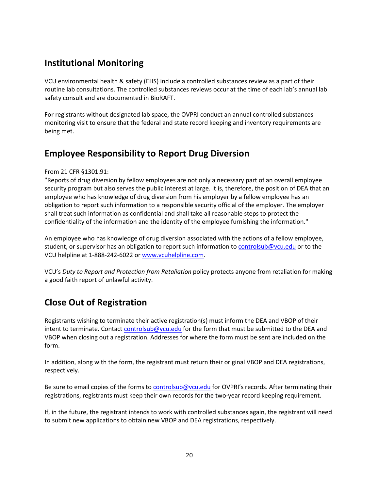### <span id="page-20-0"></span>**Institutional Monitoring**

VCU environmental health & safety (EHS) include a controlled substances review as a part of their routine lab consultations. The controlled substances reviews occur at the time of each lab's annual lab safety consult and are documented in BioRAFT.

For registrants without designated lab space, the OVPRI conduct an annual controlled substances monitoring visit to ensure that the federal and state record keeping and inventory requirements are being met.

### <span id="page-20-1"></span>**Employee Responsibility to Report Drug Diversion**

From 21 CFR §1301.91:

"Reports of drug diversion by fellow employees are not only a necessary part of an overall employee security program but also serves the public interest at large. It is, therefore, the position of DEA that an employee who has knowledge of drug diversion from his employer by a fellow employee has an obligation to report such information to a responsible security official of the employer. The employer shall treat such information as confidential and shall take all reasonable steps to protect the confidentiality of the information and the identity of the employee furnishing the information."

An employee who has knowledge of drug diversion associated with the actions of a fellow employee, student, or supervisor has an obligation to report such information to [controlsub@vcu.edu](mailto:controlsub@vcu.edu) or to the VCU helpline at 1-888-242-6022 o[r www.vcuhelpline.com.](http://www.vcuhelpline.com/)

VCU's *Duty to Report and Protection from Retaliation* policy protects anyone from retaliation for making a good faith report of unlawful activity.

### <span id="page-20-2"></span>**Close Out of Registration**

Registrants wishing to terminate their active registration(s) must inform the DEA and VBOP of their intent to terminate. Contact [controlsub@vcu.edu](mailto:controlsub@vcu.edu) for the form that must be submitted to the DEA and VBOP when closing out a registration. Addresses for where the form must be sent are included on the form.

In addition, along with the form, the registrant must return their original VBOP and DEA registrations, respectively.

Be sure to email copies of the forms to [controlsub@vcu.edu](mailto:controlsub@vcu.edu) for OVPRI's records. After terminating their registrations, registrants must keep their own records for the two-year record keeping requirement.

If, in the future, the registrant intends to work with controlled substances again, the registrant will need to submit new applications to obtain new VBOP and DEA registrations, respectively.